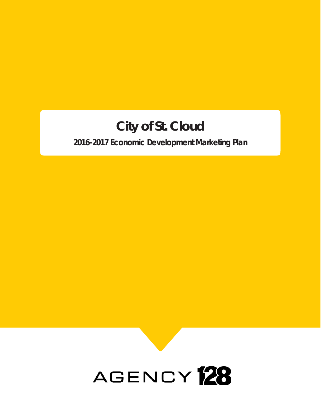# **City of St. Cloud**

**2016-2017 Economic Development Marketing Plan**

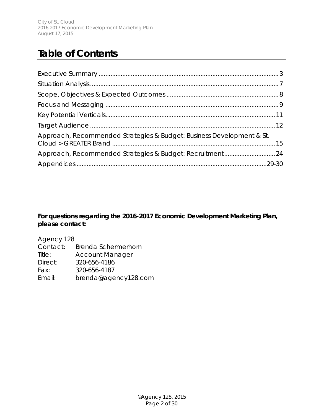City of St. Cloud 2016-2017 Economic Development Marketing Plan August 17, 2015

# **Table of Contents**

| Approach, Recommended Strategies & Budget: Business Development & St. |  |
|-----------------------------------------------------------------------|--|
| Approach, Recommended Strategies & Budget: Recruitment24              |  |
|                                                                       |  |

#### **For questions regarding the 2016-2017 Economic Development Marketing Plan, please contact:**

| Agency 128 |                        |
|------------|------------------------|
| Contact:   | Brenda Schermerhorn    |
| Title:     | <b>Account Manager</b> |
| Direct:    | 320-656-4186           |
| Fax:       | 320-656-4187           |
| Email:     | brenda@agency128.com   |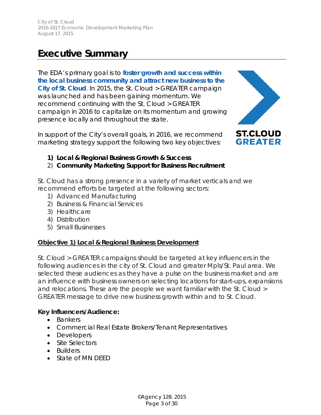# **Executive Summary**

The EDA's primary goal is to **foster growth and success within the local business community and attract new business to the City of St. Cloud**. In 2015, the St. Cloud > GREATER campaign was launched and has been gaining momentum. We recommend continuing with the St. Cloud > GREATER campaign in 2016 to capitalize on its momentum and growing presence locally and throughout the state.

In support of the City's overall goals, in 2016, we recommend marketing strategy support the following two key objectives:



- **1) Local & Regional Business Growth & Success**
- 2) **Community Marketing Support for Business Recruitment**

St. Cloud has a strong presence in a variety of market verticals and we recommend efforts be targeted at the following sectors:

- 1) Advanced Manufacturing
- 2) Business & Financial Services
- 3) Healthcare
- 4) Distribution
- 5) Small Businesses

#### **Objective 1) Local & Regional Business Development**

St. Cloud > GREATER campaigns should be targeted at key influencers in the following audiences in the city of St. Cloud and greater Mpls/St. Paul area. We selected these audiences as they have a pulse on the business market and are an influence with business owners on selecting locations for start-ups, expansions and relocations. These are the people we want familiar with the St. Cloud > GREATER message to drive new business growth within and to St. Cloud.

#### **Key Influencers/Audience:**

- Bankers
- Commercial Real Estate Brokers/Tenant Representatives
- Developers
- Site Selectors
- Builders
- State of MN DFFD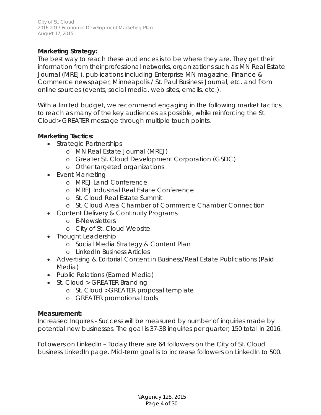#### **Marketing Strategy:**

The best way to reach these audiences is to be where they are. They get their information from their professional networks, organizations such as MN Real Estate Journal (MREJ), publications including Enterprise MN magazine, Finance & Commerce newspaper, Minneapolis / St. Paul Business Journal, etc. and from online sources (events, social media, web sites, emails, etc.).

With a limited budget, we recommend engaging in the following market tactics to reach as many of the key audiences as possible, while reinforcing the St. Cloud> GREATER message through multiple touch points.

# **Marketing Tactics:**

- Strategic Partnerships
	- o MN Real Estate Journal (MREJ)
	- o Greater St. Cloud Development Corporation (GSDC)
	- o Other targeted organizations
- Event Marketing
	- o MREJ Land Conference
	- o MREJ Industrial Real Estate Conference
	- o St. Cloud Real Estate Summit
	- o St. Cloud Area Chamber of Commerce Chamber Connection
- Content Delivery & Continuity Programs
	- o E-Newsletters
	- o City of St. Cloud Website
- Thought Leadership
	- o Social Media Strategy & Content Plan
	- o LinkedIn Business Articles
- Advertising & Editorial Content in Business/Real Estate Publications (Paid Media)
- Public Relations (Earned Media)
- St. Cloud > GREATER Branding
	- o St. Cloud >GREATER proposal template
	- o GREATER promotional tools

#### **Measurement:**

*Increased Inquires* - Success will be measured by number of inquiries made by potential new businesses. The goal is 37-38 inquiries per quarter; 150 total in 2016.

*Followers on LinkedIn* – Today there are 64 followers on the City of St. Cloud business LinkedIn page. Mid-term goal is to increase followers on LinkedIn to 500.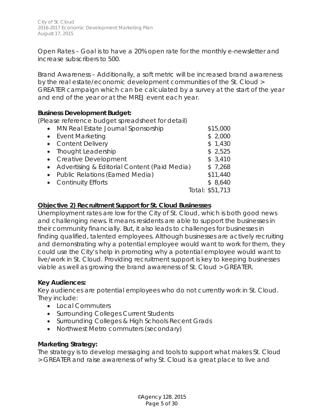*Open Rates* – Goal is to have a 20% open rate for the monthly e-newsletter and increase subscribers to 500.

*Brand Awareness –* Additionally, a soft metric will be increased brand awareness by the real estate/economic development communities of the St. Cloud > GREATER campaign which can be calculated by a survey at the start of the year and end of the year or at the MREJ event each year.

#### **Business Development Budget:**

(*Please reference budget spreadsheet for detail)*

|           | • MN Real Estate Journal Sponsorship           | \$15,000        |
|-----------|------------------------------------------------|-----------------|
| $\bullet$ | <b>Event Marketing</b>                         | \$2,000         |
|           | • Content Delivery                             | \$1,430         |
|           | • Thought Leadership                           | \$2,525         |
|           | • Creative Development                         | \$3,410         |
|           | • Advertising & Editorial Content (Paid Media) | \$7,268         |
| $\bullet$ | <b>Public Relations (Earned Media)</b>         | \$11,440        |
|           | • Continuity Efforts                           | \$8,640         |
|           |                                                | Total: \$51,713 |
|           |                                                |                 |

#### **Objective 2) Recruitment Support for St. Cloud Businesses**

Unemployment rates are low for the City of St. Cloud, which is both good news and challenging news. It means residents are able to support the businesses in their community financially. But, it also leads to challenges for businesses in finding qualified, talented employees. Although businesses are actively recruiting and demonstrating why a potential employee would want to work for them, they could use the City's help in promoting why a potential employee would want to live/work in St. Cloud. Providing recruitment support is key to keeping businesses viable as well as growing the brand awareness of St. Cloud > GREATER.

#### **Key Audiences:**

Key audiences are potential employees who do not currently work in St. Cloud. They include:

- Local Commuters
- Surrounding Colleges Current Students
- Surrounding Colleges & High Schools Recent Grads
- Northwest Metro commuters (secondary)

#### **Marketing Strategy:**

The strategy is to develop messaging and tools to support what makes St. Cloud > GREATER and raise awareness of why St. Cloud is a great place to live and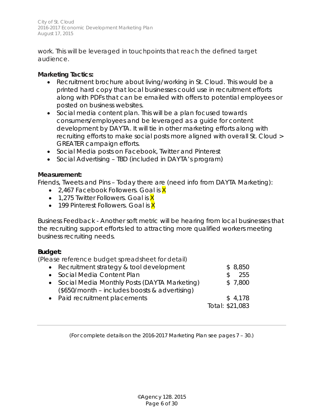City of St. Cloud 2016-2017 Economic Development Marketing Plan August 17, 2015

work. This will be leveraged in touchpoints that reach the defined target audience.

#### **Marketing Tactics:**

- Recruitment brochure about living/working in St. Cloud. This would be a printed hard copy that local businesses could use in recruitment efforts along with PDFs that can be emailed with offers to potential employees or posted on business websites.
- Social media content plan. This will be a plan focused towards consumers/employees and be leveraged as a guide for content development by DAYTA. It will tie in other marketing efforts along with recruiting efforts to make social posts more aligned with overall St. Cloud > GREATER campaign efforts.
- Social Media posts on Facebook, Twitter and Pinterest
- Social Advertising TBD (included in DAYTA's program)

#### **Measurement:**

*Friends, Tweets and Pins* – Today there are (need info from DAYTA Marketing):

- 2,467 Facebook Followers. Goal is  $X$
- 1,275 Twitter Followers. Goal is  $X$
- 199 Pinterest Followers. Goal is  $X$

*Business Feedback* - Another soft metric will be hearing from local businesses that the recruiting support efforts led to attracting more qualified workers meeting business recruiting needs.

#### **Budget:**

(*Please reference budget spreadsheet for detail)*

| • Recruitment strategy & tool development                                                       | \$8,850                    |
|-------------------------------------------------------------------------------------------------|----------------------------|
| • Social Media Content Plan                                                                     | 255<br>\$.                 |
| • Social Media Monthly Posts (DAYTA Marketing)<br>(\$650/month - includes boosts & advertising) | \$7,800                    |
| • Paid recruitment placements                                                                   | \$4,178<br>Total: \$21,083 |

*(For complete details on the 2016-2017 Marketing Plan see pages 7 – 30.)*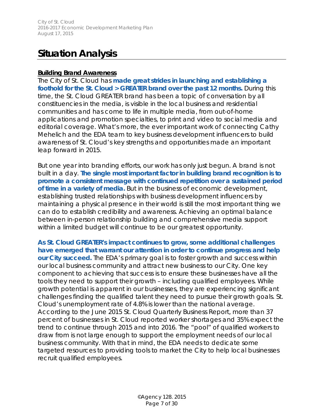# **Situation Analysis**

#### **Building Brand Awareness**

The City of St. Cloud has **made great strides in launching and establishing a foothold for the St. Cloud > GREATER brand over the past 12 months.** During this time, the St. Cloud GREATER brand has been a topic of conversation by all constituencies in the media, is visible in the local business and residential communities and has come to life in multiple media, from out-of-home applications and promotion specialties, to print and video to social media and editorial coverage. What's more, the ever important work of connecting Cathy Mehelich and the EDA team to key business development influencers to build awareness of St. Cloud's key strengths and opportunities made an important leap forward in 2015.

But one year into branding efforts, our work has only just begun. A brand is not built in a day. **The single most important factor in building brand recognition is to promote a consistent message with continued repetition over a sustained period of time in a variety of media.** But in the business of economic development, establishing trusted relationships with business development influencers by maintaining a physical presence in their world is still the most important thing we can do to establish credibility and awareness. Achieving an optimal balance between in-person relationship building and comprehensive media support within a limited budget will continue to be our greatest opportunity.

**As St. Cloud GREATER's impact continues to grow, some additional challenges have emerged that warrant our attention in order to continue progress and help our City succeed.** The EDA's primary goal is to foster growth and success within our local business community and attract new business to our City. One key component to achieving that success is to ensure these businesses have all the tools they need to support their growth – including qualified employees. While growth potential is apparent in our businesses, they are experiencing significant challenges finding the qualified talent they need to pursue their growth goals. St. Cloud's unemployment rate of 4.8% is lower than the national average. According to the June 2015 St. Cloud Quarterly Business Report, more than 37 percent of businesses in St. Cloud reported worker shortages and 35% expect the trend to continue through 2015 and into 2016. The "pool" of qualified workers to draw from is not large enough to support the employment needs of our local business community. With that in mind, the EDA needs to dedicate some targeted resources to providing tools to market the City to help local businesses recruit qualified employees.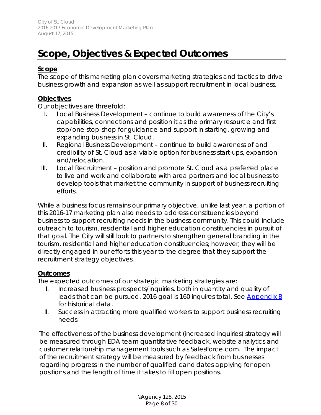# **Scope, Objectives & Expected Outcomes**

#### **Scope**

The scope of this marketing plan covers marketing strategies and tactics to drive business growth and expansion as well as support recruitment in local business.

#### **Objectives**

Our objectives are threefold:

- I. Local Business Development continue to build awareness of the City's capabilities, connections and position it as the primary resource and first stop/one-stop-shop for guidance and support in starting, growing and expanding business in St. Cloud.
- II. Regional Business Development continue to build awareness of and credibility of St. Cloud as a viable option for business start-ups, expansion and/relocation.
- III. Local Recruitment position and promote St. Cloud as a preferred place to live and work and collaborate with area partners and local business to develop tools that market the community in support of business recruiting efforts.

While a business focus remains our primary objective, unlike last year, a portion of this 2016-17 marketing plan also needs to address constituencies beyond business to support recruiting needs in the business community. This could include outreach to tourism, residential and higher education constituencies in pursuit of that goal. The City will still look to partners to strengthen general branding in the tourism, residential and higher education constituencies; however, they will be directly engaged in our efforts this year to the degree that they support the recruitment strategy objectives.

#### **Outcomes**

The expected outcomes of our strategic marketing strategies are:

- I. Increased business prospects/inquiries, both in quantity and quality of leads that can be pursued. 2016 goal is 160 inquires total. See [Appendix B](#page-29-0) for historical data.
- II. Success in attracting more qualified workers to support business recruiting needs.

The effectiveness of the business development (increased inquiries) strategy will be measured through EDA team quantitative feedback, website analytics and customer relationship management tools such as SalesForce.com. The impact of the recruitment strategy will be measured by feedback from businesses regarding progress in the number of qualified candidates applying for open positions and the length of time it takes to fill open positions.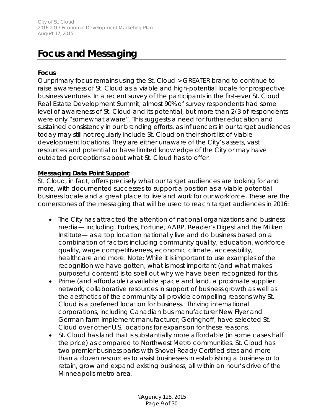# **Focus and Messaging**

### **Focus**

Our primary focus remains using the St. Cloud > GREATER brand to continue to raise awareness of St. Cloud as a viable and high-potential locale for prospective business ventures. In a recent survey of the participants in the first-ever St. Cloud Real Estate Development Summit, almost 90% of survey respondents had some level of awareness of St. Cloud and its potential, but more than 2/3 of respondents were only "somewhat aware". This suggests a need for further education and sustained consistency in our branding efforts, as influencers in our target audiences today may still not regularly include St. Cloud on their short list of viable development locations. They are either unaware of the City's assets, vast resources and potential or have limited knowledge of the City or may have outdated perceptions about what St. Cloud has to offer.

#### **Messaging Data Point Support**

St. Cloud, in fact, offers precisely what our target audiences are looking for and more, with documented successes to support a position as a viable potential business locale and a great place to live and work for our workforce. These are the cornerstones of the messaging that will be used to reach target audiences in 2016:

- The City has attracted the attention of national organizations and business media— including, Forbes, Fortune, AARP, Reader's Digest and the Milken Institute— as a top location nationally live and do business based on a combination of factors including community quality, education, workforce quality, wage competitiveness, economic climate, accessibility, healthcare and more. Note: While it is important to use examples of the recognition we have gotten, what is most important (and what makes *purposeful content*) is to spell out why we have been recognized for this.
- Prime (and affordable) available space and land, a proximate supplier network, collaborative resources in support of business growth as well as the aesthetics of the community all provide compelling reasons why St. Cloud is a preferred location for business. Thriving international corporations, including Canadian bus manufacturer New Flyer and German farm implement manufacturer, Geringhoff, have selected St. Cloud over other U.S. locations for expansion for these reasons.
- St. Cloud has land that is substantially more affordable (in some cases half the price) as compared to Northwest Metro communities. St. Cloud has two premier business parks with Shovel-Ready Certified sites and more than a dozen resources to assist businesses in establishing a business or to retain, grow and expand existing business, all within an hour's drive of the Minneapolis metro area.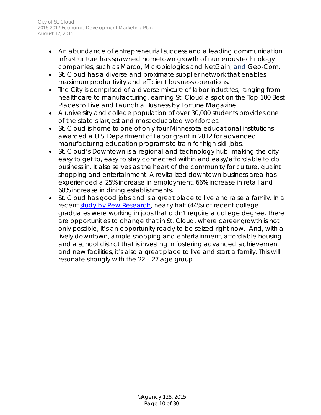City of St. Cloud 2016-2017 Economic Development Marketing Plan August 17, 2015

- An abundance of entrepreneurial success and a leading communication infrastructure has spawned hometown growth of numerous technology companies, such as Marco, Microbiologics and NetGain, and Geo-Com.
- St. Cloud has a diverse and proximate supplier network that enables maximum productivity and efficient business operations.
- The City is comprised of a diverse mixture of labor industries, ranging from healthcare to manufacturing, earning St. Cloud a spot on the Top 100 Best Places to Live and Launch a Business by Fortune Magazine.
- A university and college population of over 30,000 students provides one of the state's largest and most educated workforces.
- St. Cloud is home to one of only four Minnesota educational institutions awarded a U.S. Department of Labor grant in 2012 for advanced manufacturing education programs to train for high-skill jobs.
- St. Cloud's Downtown is a regional and technology hub, making the city easy to get to, easy to stay connected within and easy/affordable to do business in. It also serves as the heart of the community for culture, quaint shopping and entertainment. A revitalized downtown business area has experienced a 25% increase in employment, 66% increase in retail and 68% increase in dining establishments.
- St. Cloud has good jobs and is a great place to live and raise a family. In a recent [study by Pew Research,](http://www.pewresearch.org/fact-tank/2014/05/30/5-facts-about-todays-college-graduates/) nearly half (44%) of recent college graduates were working in jobs that didn't require a college degree. There are opportunities to change that in St. Cloud, where career growth is not only possible, it's an opportunity ready to be seized right now. And, with a lively downtown, ample shopping and entertainment, affordable housing and a school district that is investing in fostering advanced achievement and new facilities, it's also a great place to live and start a family. This will resonate strongly with the 22 – 27 age group.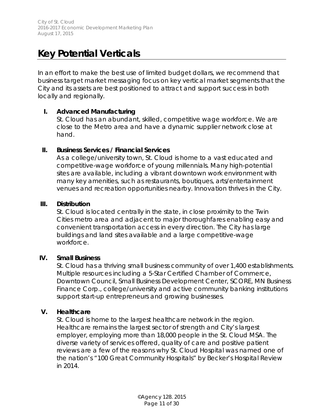# **Key Potential Verticals**

In an effort to make the best use of limited budget dollars, we recommend that business target market messaging focus on key vertical market segments that the City and its assets are best positioned to attract and support success in both locally and regionally.

#### **I. Advanced Manufacturing**

St. Cloud has an abundant, skilled, competitive wage workforce. We are close to the Metro area and have a dynamic supplier network close at hand.

#### **II. Business Services / Financial Services**

As a college/university town, St. Cloud is home to a vast educated and competitive-wage workforce of young millennials. Many high-potential sites are available, including a vibrant downtown work environment with many key amenities, such as restaurants, boutiques, arts/entertainment venues and recreation opportunities nearby. Innovation thrives in the City.

#### **III. Distribution**

St. Cloud is located centrally in the state, in close proximity to the Twin Cities metro area and adjacent to major thoroughfares enabling easy and convenient transportation access in every direction. The City has large buildings and land sites available and a large competitive-wage workforce.

#### **IV. Small Business**

St. Cloud has a thriving small business community of over 1,400 establishments. Multiple resources including a 5-Star Certified Chamber of Commerce, Downtown Council, Small Business Development Center, SCORE, MN Business Finance Corp., college/university and active community banking institutions support start-up entrepreneurs and growing businesses.

#### **V. Healthcare**

St. Cloud is home to the largest healthcare network in the region. Healthcare remains the largest sector of strength and City's largest employer, employing more than 18,000 people in the St. Cloud MSA. The diverse variety of services offered, quality of care and positive patient reviews are a few of the reasons why St. Cloud Hospital was named one of the nation's "100 Great Community Hospitals" by Becker's Hospital Review in 2014.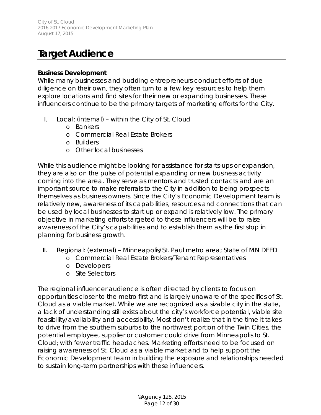# **Target Audience**

#### **Business Development**

While many businesses and budding entrepreneurs conduct efforts of due diligence on their own, they often turn to a few key resources to help them explore locations and find sites for their new or expanding businesses. These influencers continue to be the primary targets of marketing efforts for the City.

- I. Local: (internal) within the City of St. Cloud
	- o Bankers
	- o Commercial Real Estate Brokers
	- o Builders
	- o Other local businesses

While this audience might be looking for assistance for starts-ups or expansion, they are also on the pulse of potential expanding or new business activity coming into the area. They serve as mentors and trusted contacts and are an important source to make referrals to the City in addition to being prospects themselves as business owners. Since the City's Economic Development team is relatively new, awareness of its capabilities, resources and connections that can be used by local businesses to start up or expand is relatively low. The primary objective in marketing efforts targeted to these influencers will be to raise awareness of the City's capabilities and to establish them as the first stop in planning for business growth.

- II. Regional: (external) Minneapolis/St. Paul metro area; State of MN DEED
	- o Commercial Real Estate Brokers/Tenant Representatives
	- o Developers
	- o Site Selectors

The regional influencer audience is often directed by clients to focus on opportunities closer to the metro first and is largely unaware of the specifics of St. Cloud as a viable market. While we are recognized as a sizable city in the state, a lack of understanding still exists about the city's workforce potential, viable site feasibility/availability and accessibility. Most don't realize that in the time it takes to drive from the southern suburbs to the northwest portion of the Twin Cities, the potential employee, supplier or customer could drive from Minneapolis to St. Cloud; with fewer traffic headaches. Marketing efforts need to be focused on raising awareness of St. Cloud as a viable market and to help support the Economic Development team in building the exposure and relationships needed to sustain long-term partnerships with these influencers.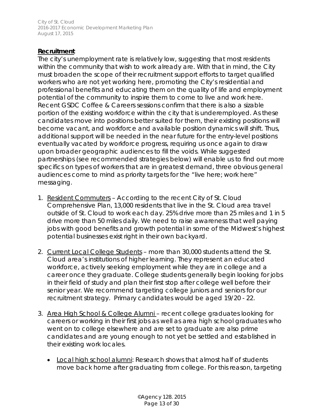City of St. Cloud 2016-2017 Economic Development Marketing Plan August 17, 2015

#### **Recruitment**

The city's unemployment rate is relatively low, suggesting that most residents within the community that wish to work already are. With that in mind, the City must broaden the scope of their recruitment support efforts to target qualified workers who are not yet working here, promoting the City's residential and professional benefits and educating them on the quality of life and employment potential of the community to inspire them to come to live and work here. Recent GSDC Coffee & Careers sessions confirm that there is also a sizable portion of the existing workforce within the city that is underemployed. As these candidates move into positions better suited for them, their existing positions will become vacant, and workforce and available position dynamics will shift. Thus, additional support will be needed in the near future for the entry-level positions eventually vacated by workforce progress, requiring us once again to draw upon broader geographic audiences to fill the voids. While suggested partnerships (see recommended strategies below) will enable us to find out more specifics on types of workers that are in greatest demand, three obvious general audiences come to mind as priority targets for the "live here; work here" messaging.

- 1. Resident Commuters According to the recent City of St. Cloud Comprehensive Plan, 13,000 residents that live in the St. Cloud area travel outside of St. Cloud to work each day. 25% drive more than 25 miles and 1 in 5 drive more than 50 miles daily. We need to raise awareness that well paying jobs with good benefits and growth potential in some of the Midwest's highest potential businesses exist right in their own backyard.
- 2. Current Local College Students more than 30,000 students attend the St. Cloud area's institutions of higher learning. They represent an educated workforce, actively seeking employment while they are in college and a career once they graduate. College students generally begin looking for jobs in their field of study and plan their first stop after college well before their senior year. We recommend targeting college juniors and seniors for our recruitment strategy. Primary candidates would be aged 19/20 - 22.
- 3. Area High School & College Alumni recent college graduates looking for careers or working in their first jobs as well as area high school graduates who went on to college elsewhere and are set to graduate are also prime candidates and are young enough to not yet be settled and established in their existing work locales.
	- Local high school alumni: Research shows that almost half of students move back home after graduating from college. For this reason, targeting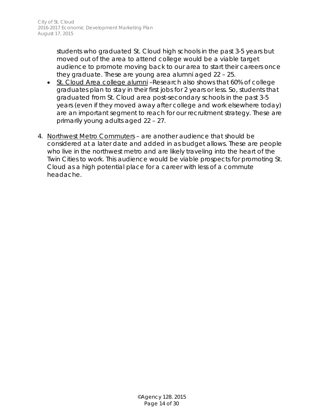students who graduated St. Cloud high schools in the past 3-5 years but moved out of the area to attend college would be a viable target audience to promote moving back to our area to start their careers once they graduate. These are young area alumni aged 22 – 25.

- St. Cloud Area college alumni –Research also shows that 60% of college graduates plan to stay in their first jobs for 2 years or less. So, students that graduated from St. Cloud area post-secondary schools in the past 3-5 years (even if they moved away after college and work elsewhere today) are an important segment to reach for our recruitment strategy. These are primarily young adults aged 22 – 27.
- 4. Northwest Metro Commuters are another audience that should be considered at a later date and added in as budget allows. These are people who live in the northwest metro and are likely traveling into the heart of the Twin Cities to work. This audience would be viable prospects for promoting St. Cloud as a high potential place for a career with less of a commute headache.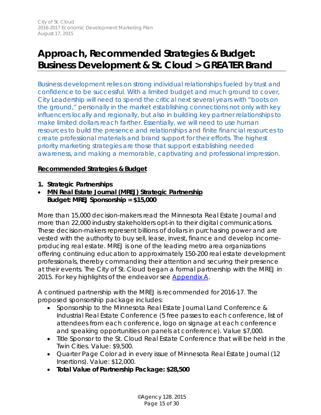# **Approach, Recommended Strategies & Budget: Business Development & St. Cloud > GREATER Brand**

*Business development relies on strong individual relationships fueled by trust and confidence to be successful. With a limited budget and much ground to cover, City Leadership will need to spend the critical next several years with "boots on the ground," personally in the market establishing connections not only with key influencers locally and regionally, but also in building key partner relationships to make limited dollars reach farther. Essentially, we will need to use human resources to build the presence and relationships and finite financial resources to create professional materials and brand support for their efforts. The highest priority marketing strategies are those that support establishing needed awareness, and making a memorable, captivating and professional impression.*

#### **Recommended Strategies & Budget**

- **1. Strategic Partnerships**
- **MN Real Estate Journal (MREJ) Strategic Partnership** *Budget: MREJ Sponsorship = \$15,000*

More than 15,000 decision-makers read the Minnesota Real Estate Journal and more than 22,000 industry stakeholders opt-in to their digital communications. These decision-makers represent billions of dollars in purchasing power and are vested with the authority to buy sell, lease, invest, finance and develop incomeproducing real estate. MREJ is one of the leading metro area organizations offering continuing education to approximately 150-200 real estate development professionals, thereby commanding their attention and securing their presence at their events. The City of St. Cloud began a formal partnership with the MREJ in 2015. For key highlights of the endeavor see [Appendix A.](#page-27-0)

A continued partnership with the MREJ is recommended for 2016-17. The proposed sponsorship package includes:

- Sponsorship to the Minnesota Real Estate Journal Land Conference & Industrial Real Estate Conference (5 free passes to each conference, list of attendees from each conference, logo on signage at each conference and speaking opportunities on panels at conference). Value \$7,000.
- Title Sponsor to the St. Cloud Real Estate Conference that will be held in the Twin Cities. Value: \$9,500.
- Quarter Page Color ad in every issue of Minnesota Real Estate Journal (12 Insertions). Value: \$12,000.
- **Total Value of Partnership Package: \$28,500**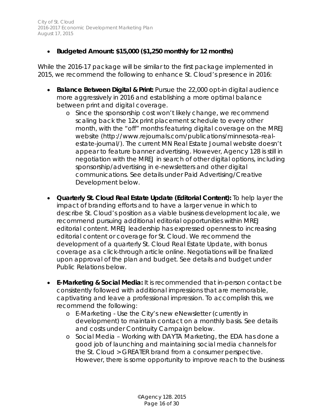# • **Budgeted Amount: \$15,000 (\$1,250 monthly for 12 months)**

While the 2016-17 package will be similar to the first package implemented in 2015, we recommend the following to enhance St. Cloud's presence in 2016:

- **Balance Between Digital & Print:** Pursue the 22,000 opt-in digital audience more aggressively in 2016 and establishing a more optimal balance between print and digital coverage.
	- o Since the sponsorship cost won't likely change, we recommend scaling back the 12x print placement schedule to every other month, with the "off" months featuring digital coverage on the MREJ website (http://www.rejournals.com/publications/minnesota-realestate-journal/). The current MN Real Estate Journal website doesn't appear to feature banner advertising. However, Agency 128 is still in negotiation with the MREJ in search of other digital options, including sponsorship/advertising in e-newsletters and other digital communications. See details under Paid Advertising/Creative Development below.
- **Quarterly St. Cloud Real Estate Update (Editorial Content):** To help layer the impact of branding efforts and to have a larger venue in which to describe St. Cloud's position as a viable business development locale, we recommend pursuing additional editorial opportunities within MREJ editorial content. MREJ leadership has expressed openness to increasing editorial content or coverage for St. Cloud. We recommend the development of a quarterly St. Cloud Real Estate Update, with bonus coverage as a click-through article online. Negotiations will be finalized upon approval of the plan and budget. See details and budget under Public Relations below.
- **E-Marketing & Social Media:** It is recommended that in-person contact be consistently followed with additional impressions that are memorable, captivating and leave a professional impression. To accomplish this, we recommend the following:
	- o E-Marketing Use the City's new eNewsletter (currently in development) to maintain contact on a monthly basis. See details and costs under Continuity Campaign below.
	- o Social Media Working with DAYTA Marketing, the EDA has done a good job of launching and maintaining social media channels for the St. Cloud > GREATER brand from a consumer perspective. However, there is some opportunity to improve reach to the business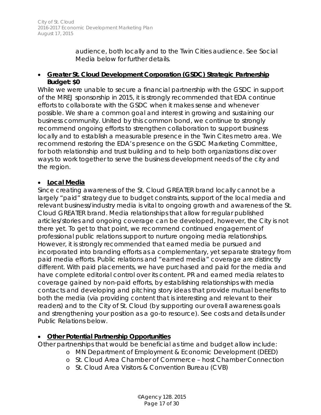audience, both locally and to the Twin Cities audience. See Social Media below for further details.

#### • **Greater St. Cloud Development Corporation (GSDC) Strategic Partnership** *Budget: \$0*

While we were unable to secure a financial partnership with the GSDC in support of the MREJ sponsorship in 2015, it is strongly recommended that EDA continue efforts to collaborate with the GSDC when it makes sense and whenever possible. We share a common goal and interest in growing and sustaining our business community. United by this common bond, we continue to strongly recommend ongoing efforts to strengthen collaboration to support business locally and to establish a measurable presence in the Twin Cites metro area. We recommend restoring the EDA's presence on the GSDC Marketing Committee, for both relationship and trust building and to help both organizations discover ways to work together to serve the business development needs of the city and the region.

#### • **Local Media**

Since creating awareness of the St. Cloud GREATER brand locally cannot be a largely "paid" strategy due to budget constraints, support of the local media and relevant business/industry media is vital to ongoing growth and awareness of the St. Cloud GREATER brand. Media relationships that allow for regular published articles/stories and ongoing coverage can be developed, however, the City is not there yet. To get to that point, we recommend continued engagement of professional public relations support to nurture ongoing media relationships. However, it is strongly recommended that earned media be pursued and incorporated into branding efforts as a complementary, yet separate strategy from paid media efforts. Public relations and "earned media" coverage are distinctly different. With paid placements, we have purchased and paid for the media and have complete editorial control over its content. PR and earned media relates to coverage gained by non-paid efforts, by establishing relationships with media contacts and developing and pitching story ideas that provide mutual benefits to both the media (via providing content that is interesting and relevant to their readers) and to the City of St. Cloud (by supporting our overall awareness goals and strengthening your position as a go-to resource). See costs and details under Public Relations below.

# • **Other Potential Partnership Opportunities**

Other partnerships that would be beneficial as time and budget allow include:

- o MN Department of Employment & Economic Development (DEED)
	- o St. Cloud Area Chamber of Commerce host Chamber Connection
	- o St. Cloud Area Visitors & Convention Bureau (CVB)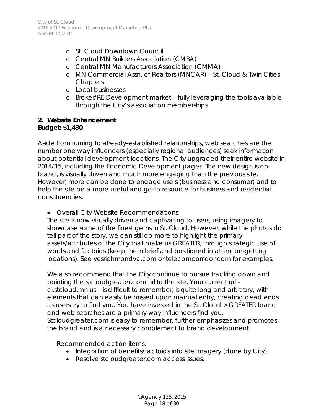- o St. Cloud Downtown Council
- o Central MN Builders Association (CMBA)
- o Central MN Manufacturers Association (CMMA)
- o MN Commercial Assn. of Realtors (MNCAR) St. Cloud & Twin Cities **Chapters**
- o Local businesses
- o Broker/RE Development market fully leveraging the tools available through the City's association memberships

#### **2. Website Enhancement** *Budget: \$1,430*

Aside from turning to already-established relationships, web searches are the number one way influencers (especially regional audiences) seek information about potential development locations. The City upgraded their entire website in 2014/15, including the Economic Development pages. The new design is onbrand, is visually driven and much more engaging than the previous site. However, more can be done to engage users (business and consumer) and to help the site be a more useful and go-to resource for business and residential constituencies.

• Overall City Website Recommendations:

The site is now visually driven and captivating to users, using imagery to showcase some of the finest gems in St. Cloud. However, while the photos do tell part of the story, we can still do more to highlight the primary assets/attributes of the City that make us GREATER, through strategic use of words and factoids (keep them brief and positioned in attention-getting locations). See yesrichmondva.com or telecomcorridor.com for examples.

We also recommend that the City continue to pursue tracking down and pointing the stcloudgreater.com url to the site. Your current url – ci.stcloud.mn.us – is difficult to remember, is quite long and arbitrary, with elements that can easily be missed upon manual entry, creating dead ends as users try to find you. You have invested in the St. Cloud > GREATER brand and web searches are a primary way influencers find you. Stcloudgreater.com is easy to remember, further emphasizes and promotes the brand and is a necessary complement to brand development.

Recommended action items:

- Integration of benefits/factoids into site imagery (done by City).
- Resolve stcloudgreater.com access issues.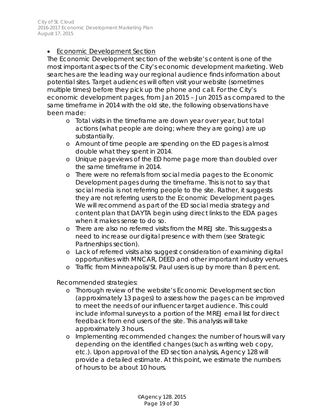# • Economic Development Section

The Economic Development section of the website's content is one of the most important aspects of the City's economic development marketing. Web searches are the leading way our regional audience finds information about potential sites. Target audiences will often visit your website (sometimes multiple times) before they pick up the phone and call. For the City's economic development pages, from Jan 2015 – Jun 2015 as compared to the same timeframe in 2014 with the old site, the following observations have been made:

- o Total visits in the timeframe are down year over year, but total actions (what people are doing; where they are going) are up substantially.
- o Amount of time people are spending on the ED pages is almost double what they spent in 2014.
- o Unique pageviews of the ED home page more than doubled over the same timeframe in 2014.
- o There were no referrals from social media pages to the Economic Development pages during the timeframe. This is not to say that social media is not referring people to the site. Rather, it suggests they are not referring users to the Economic Development pages. We will recommend as part of the ED social media strategy and content plan that DAYTA begin using direct links to the EDA pages when it makes sense to do so.
- o There are also no referred visits from the MREJ site. This suggests a need to increase our digital presence with them (see Strategic Partnerships section).
- o Lack of referred visits also suggest consideration of examining digital opportunities with MNCAR, DEED and other important industry venues.
- o Traffic from Minneapolis/St. Paul users is up by more than 8 percent.

Recommended strategies:

- o Thorough review of the website's Economic Development section (approximately 13 pages) to assess how the pages can be improved to meet the needs of our influencer target audience. This could include informal surveys to a portion of the MREJ email list for direct feedback from end users of the site. This analysis will take approximately 3 hours.
- o Implementing recommended changes: the number of hours will vary depending on the identified changes (such as writing web copy, etc.). Upon approval of the ED section analysis, Agency 128 will provide a detailed estimate. At this point, we estimate the numbers of hours to be about 10 hours.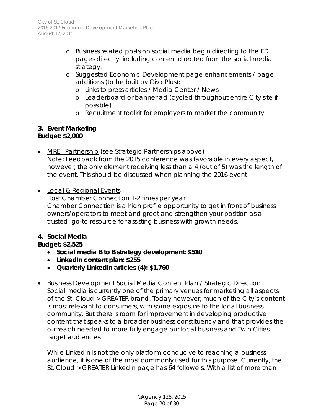- o Business related posts on social media begin directing to the ED pages directly, including content directed from the social media strategy.
- o Suggested Economic Development page enhancements / page additions (to be built by CivicPlus):
	- o Links to press articles / Media Center / News
	- o Leaderboard or banner ad (cycled throughout entire City site if possible)
	- o Recruitment toolkit for employers to market the community

#### **3. Event Marketing** *Budget: \$2,000*

- MREJ Partnership (see Strategic Partnerships above) Note: Feedback from the 2015 conference was favorable in every aspect, however, the only element receiving less than a 4 (out of 5) was the length of the event. This should be discussed when planning the 2016 event.
- Local & Regional Events Host Chamber Connection 1-2 times per year Chamber Connection is a high profile opportunity to get in front of business owners/operators to meet and greet and strengthen your position as a trusted, go-to resource for assisting business with growth needs.

# *4. Social Media*

# *Budget: \$2,525*

- **Social media B to B strategy development: \$510**
- **LinkedIn content plan: \$255**
- **Quarterly LinkedIn articles (4): \$1,760**
- Business Development Social Media Content Plan / Strategic Direction Social media is currently one of the primary venues for marketing all aspects of the St. Cloud > GREATER brand. Today however, much of the City's content is most relevant to consumers, with some exposure to the local business community. But there is room for improvement in developing productive content that speaks to a broader business constituency and that provides the outreach needed to more fully engage our local business and Twin Cities target audiences.

While LinkedIn is not the only platform conducive to reaching a business audience, it is one of the most commonly used for this purpose. Currently, the St. Cloud > GREATER LinkedIn page has 64 followers. With a list of more than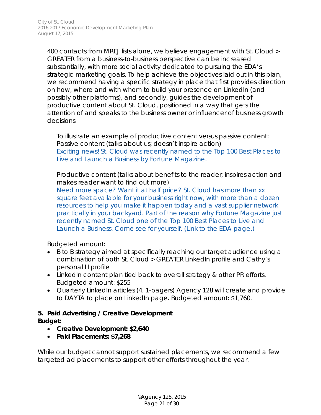400 contacts from MREJ lists alone, we believe engagement with St. Cloud > GREATER from a business-to-business perspective can be increased substantially, with more social activity dedicated to pursuing the EDA's strategic marketing goals. To help achieve the objectives laid out in this plan, we recommend having a specific strategy in place that first provides direction on how, where and with whom to build your presence on LinkedIn (and possibly other platforms), and secondly, guides the development of *productive content* about St. Cloud, positioned in a way that gets the attention of and speaks to the business owner or influencer of business growth decisions.

To illustrate an example of productive content versus passive content: *Passive content (talks about us; doesn't inspire action)* Exciting news! St. Cloud was recently named to the Top 100 Best Places to Live and Launch a Business by Fortune Magazine.

*Productive content (talks about benefits to the reader; inspires action and makes reader want to find out more)*

Need more space? Want it at half price? St. Cloud has more than xx square feet available for your business right now, with more than a dozen resources to help you make it happen today and a vast supplier network practically in your backyard. Part of the reason why Fortune Magazine just recently named St. Cloud one of the Top 100 Best Places to Live and Launch a Business. Come see for yourself. (Link to the EDA page.)

Budgeted amount:

- B to B strategy aimed at specifically reaching our target audience using a combination of both St. Cloud > GREATER LinkedIn profile and Cathy's personal LI profile
- LinkedIn content plan tied back to overall strategy & other PR efforts. Budgeted amount: \$255
- Quarterly LinkedIn articles (4, 1-pagers) Agency 128 will create and provide to DAYTA to place on LinkedIn page. Budgeted amount: \$1,760.

# *5. Paid Advertising / Creative Development*

*Budget:* 

- *Creative Development: \$2,640*
- *Paid Placements: \$7,268*

While our budget cannot support sustained placements, we recommend a few targeted ad placements to support other efforts throughout the year.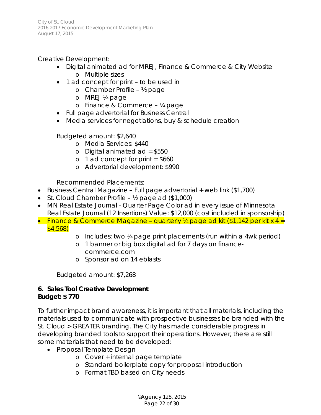Creative Development:

- Digital animated ad for MREJ, Finance & Commerce & City Website o Multiple sizes
- 1 ad concept for print to be used in
	- o Chamber Profile ½ page
	- o MREJ ¼ page
	- o Finance & Commerce ¼ page
- Full page advertorial for Business Central
- Media services for negotiations, buy & schedule creation

Budgeted amount: \$2,640

- o Media Services: \$440
- o Digital animated ad = \$550
- $o$  1 ad concept for print = \$660
- o Advertorial development: \$990

Recommended Placements:

- Business Central Magazine Full page advertorial + web link (\$1,700)
- St. Cloud Chamber Profile 1/2 page ad (\$1,000)
- MN Real Estate Journal Quarter Page Color ad in every issue of Minnesota Real Estate Journal (12 Insertions) Value: \$12,000 (cost included in sponsorship)
- Finance & Commerce Magazine quarterly  $\frac{1}{4}$  page ad kit (\$1,142 per kit x 4 = \$4,568)
	- o Includes: two ¼ page print placements (run within a 4wk period)
	- o 1 banner or big box digital ad for 7 days on financecommerce.com
	- o Sponsor ad on 14 eblasts

Budgeted amount: \$7,268

# *6. Sales Tool Creative Development Budget: \$ 770*

To further impact brand awareness, it is important that all materials, including the materials used to communicate with prospective businesses be branded with the St. Cloud > GREATER branding. The City has made considerable progress in developing branded tools to support their operations. However, there are still some materials that need to be developed:

- Proposal Template Design
	- o Cover + internal page template
	- o Standard boilerplate copy for proposal introduction
	- o Format TBD based on City needs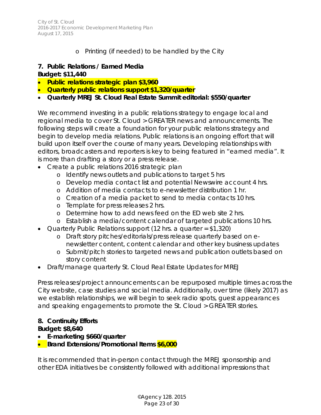# o Printing (if needed) to be handled by the City

# *7. Public Relations / Earned Media*

#### *Budget: \$11,440*

- **Public relations strategic plan \$3,960**
- **Quarterly public relations support \$1,320/quarter**
- **Quarterly MREJ St. Cloud Real Estate Summit editorial: \$550/quarter**

We recommend investing in a public relations strategy to engage local and regional media to cover St. Cloud > GREATER news and announcements. The following steps will create a foundation for your public relations strategy and begin to develop media relations. Public relations is an ongoing effort that will build upon itself over the course of many years. Developing relationships with editors, broadcasters and reporters is key to being featured in "earned media". It is more than drafting a story or a press release.

- Create a public relations 2016 strategic plan
	- o Identify news outlets and publications to target 5 hrs
	- o Develop media contact list and potential Newswire account 4 hrs.
	- o Addition of media contacts to e-newsletter distribution 1 hr.
	- o Creation of a media packet to send to media contacts 10 hrs.
	- o Template for press releases 2 hrs.
	- o Determine how to add news feed on the ED web site 2 hrs.
	- o Establish a media/content calendar of targeted publications 10 hrs.
- Quarterly Public Relations support (12 hrs. a quarter = \$1,320)
	- o Draft story pitches/editorials/press release quarterly based on enewsletter content, content calendar and other key business updates
	- o Submit/pitch stories to targeted news and publication outlets based on story content
- Draft/manage quarterly St. Cloud Real Estate Updates for MREJ

Press releases/project announcements can be repurposed multiple times across the City website, case studies and social media. Additionally, over time (likely 2017) as we establish relationships, we will begin to seek radio spots, guest appearances and speaking engagements to promote the St. Cloud > GREATER stories.

# *8. Continuity Efforts*

#### *Budget: \$8,640*

- **E-marketing \$660/quarter**
- **Brand Extensions/Promotional Items \$6,000**

It is recommended that in-person contact through the MREJ sponsorship and other EDA initiatives be consistently followed with additional impressions that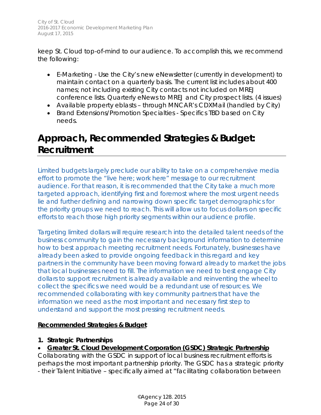keep St. Cloud top-of-mind to our audience. To accomplish this, we recommend the following:

- E-Marketing Use the City's new eNewsletter (currently in development) to maintain contact on a quarterly basis. The current list includes about 400 names; not including existing City contacts not included on MREJ conference lists. Quarterly eNews to MREJ and City prospect lists. (4 issues)
- Available property eblasts through MNCAR's CDXMail (handled by City)
- Brand Extensions/Promotion Specialties Specifics TBD based on City needs.

# **Approach, Recommended Strategies & Budget: Recruitment**

*Limited budgets largely preclude our ability to take on a comprehensive media effort to promote the "live here; work here" message to our recruitment audience. For that reason, it is recommended that the City take a much more targeted approach, identifying first and foremost where the most urgent needs lie and further defining and narrowing down specific target demographics for the priority groups we need to reach. This will allow us to focus dollars on specific efforts to reach those high priority segments within our audience profile.* 

*Targeting limited dollars will require research into the detailed talent needs of the business community to gain the necessary background information to determine how to best approach meeting recruitment needs. Fortunately, businesses have already been asked to provide ongoing feedback in this regard and key partners in the community have been moving forward already to market the jobs that local businesses need to fill. The information we need to best engage City dollars to support recruitment is already available and reinventing the wheel to collect the specifics we need would be a redundant use of resources. We recommended collaborating with key community partners that have the information we need as the most important and necessary first step to understand and support the most pressing recruitment needs.* 

#### **Recommended Strategies & Budget**

# **1. Strategic Partnerships**

# • **Greater St. Cloud Development Corporation (GSDC) Strategic Partnership**

Collaborating with the GSDC in support of local business recruitment efforts is perhaps the most important partnership priority. The GSDC has a strategic priority - their Talent Initiative – specifically aimed at "facilitating collaboration between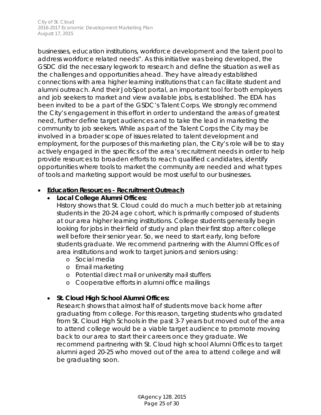businesses, education institutions, workforce development and the talent pool to address workforce related needs". As this initiative was being developed, the GSDC did the necessary legwork to research and define the situation as well as the challenges and opportunities ahead. They have already established connections with area higher learning institutions that can facilitate student and alumni outreach. And their JobSpot portal, an important tool for both employers and job seekers to market and view available jobs, is established. The EDA has been invited to be a part of the GSDC's Talent Corps. We strongly recommend the City's engagement in this effort in order to understand the areas of greatest need, further define target audiences and to take the lead in marketing the community to job seekers. While as part of the Talent Corps the City may be involved in a broader scope of issues related to talent development and employment, for the purposes of this marketing plan, the City's role will be to stay actively engaged in the specifics of the area's recruitment needs in order to help provide resources to broaden efforts to reach qualified candidates, identify opportunities where tools to market the community are needed and what types of tools and marketing support would be most useful to our businesses.

#### • **Education Resources - Recruitment Outreach**

# • **Local College Alumni Offices:**

History shows that St. Cloud could do much a much better job at retaining students in the 20-24 age cohort, which is primarily composed of students at our area higher learning institutions. College students generally begin looking for jobs in their field of study and plan their first stop after college well before their senior year. So, we need to start early, long before students graduate. We recommend partnering with the Alumni Offices of area institutions and work to target juniors and seniors using:

- o Social media
- o Email marketing
- o Potential direct mail or university mail stuffers
- o Cooperative efforts in alumni office mailings

# • **St. Cloud High School Alumni Offices:**

Research shows that almost half of students move back home after graduating from college. For this reason, targeting students who gradated from St. Cloud High Schools in the past 3-7 years but moved out of the area to attend college would be a viable target audience to promote moving back to our area to start their careers once they graduate. We recommend partnering with St. Cloud high school Alumni Offices to target alumni aged 20-25 who moved out of the area to attend college and will be graduating soon.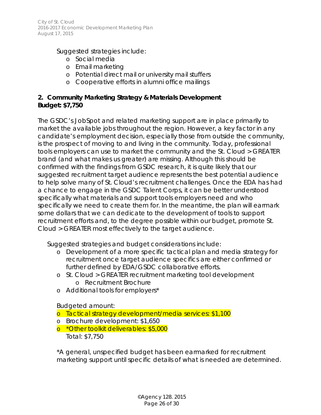Suggested strategies include:

- o Social media
- o Email marketing
- o Potential direct mail or university mail stuffers
- o Cooperative efforts in alumni office mailings

# **2. Community Marketing Strategy & Materials Development** *Budget: \$7,750*

The GSDC's JobSpot and related marketing support are in place primarily to market the available jobs throughout the region. However, a key factor in any candidate's employment decision, especially those from outside the community, is the prospect of moving to and living in the community. Today, professional tools employers can use to market the community and the St. Cloud > GREATER brand (and what makes us greater) are missing. Although this should be confirmed with the findings from GSDC research, it is quite likely that our suggested recruitment target audience represents the best potential audience to help solve many of St. Cloud's recruitment challenges. Once the EDA has had a chance to engage in the GSDC Talent Corps, it can be better understood specifically what materials and support tools employers need and who specifically we need to create them for. In the meantime, the plan will earmark some dollars that we can dedicate to the development of tools to support recruitment efforts and, to the degree possible within our budget, promote St. Cloud > GREATER most effectively to the target audience.

Suggested strategies and budget considerations include:

- o Development of a more specific tactical plan and media strategy for recruitment once target audience specifics are either confirmed or further defined by EDA/GSDC collaborative efforts.
- o St. Cloud > GREATER recruitment marketing tool development o Recruitment Brochure
- o Additional tools for employers\*

Budgeted amount:

- o Tactical strategy development/media services: \$1,100
- o Brochure development: \$1,650
- o \*Other toolkit deliverables: \$5,000 Total: \$7,750

*\*A general, unspecified budget has been earmarked for recruitment marketing support until specific details of what is needed are determined.*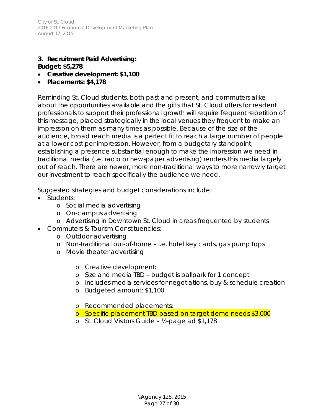#### **3. Recruitment Paid Advertising:**  *Budget: \$5,278*

- *Creative development: \$1,100*
- *Placements: \$4,178*

Reminding St. Cloud students, both past and present, and commuters alike about the opportunities available and the gifts that St. Cloud offers for resident professionals to support their professional growth will require frequent repetition of this message, placed strategically in the local venues they frequent to make an impression on them as many times as possible. Because of the size of the audience, broad reach media is a perfect fit to reach a large number of people at a lower cost per impression. However, from a budgetary standpoint, establishing a presence substantial enough to make the impression we need in traditional media (i.e. radio or newspaper advertising) renders this media largely out of reach. There are newer, more non-traditional ways to more narrowly target our investment to reach specifically the audience we need.

Suggested strategies and budget considerations include:

- Students:
	- o Social media advertising
	- o On-campus advertising
	- o Advertising in Downtown St. Cloud in areas frequented by students
- Commuters & Tourism Constituencies:
	- o Outdoor advertising
	- o Non-traditional out-of-home i.e. hotel key cards, gas pump tops
	- o Movie theater advertising
		- o Creative development:
		- o Size and media TBD budget is ballpark for 1 concept
		- o Includes media services for negotiations, buy & schedule creation
		- o Budgeted amount: \$1,100
		- o Recommended placements:
		- o Specific placement TBD based on target demo needs \$3,000
		- o St. Cloud Visitors Guide ½-page ad \$1,178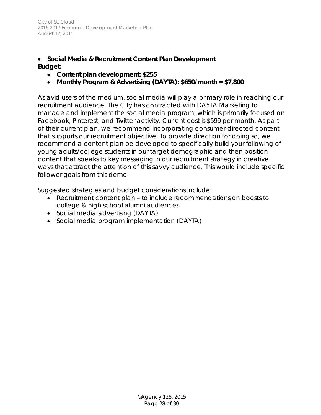#### • *Social Media & Recruitment Content Plan Development Budget:*

- **Content plan development: \$255**
- **Monthly Program & Advertising (DAYTA): \$650/month = \$7,800**

As avid users of the medium, social media will play a primary role in reaching our recruitment audience. The City has contracted with DAYTA Marketing to manage and implement the social media program, which is primarily focused on Facebook, Pinterest, and Twitter activity. Current cost is \$599 per month. As part of their current plan, we recommend incorporating consumer-directed content that supports our recruitment objective. To provide direction for doing so, we recommend a content plan be developed to specifically build your following of young adults/college students in our target demographic and then position content that speaks to key messaging in our recruitment strategy in creative ways that attract the attention of this savvy audience. This would include specific follower goals from this demo.

Suggested strategies and budget considerations include:

- Recruitment content plan to include recommendations on boosts to college & high school alumni audiences
- Social media advertising (DAYTA)
- <span id="page-27-0"></span>• Social media program implementation (DAYTA)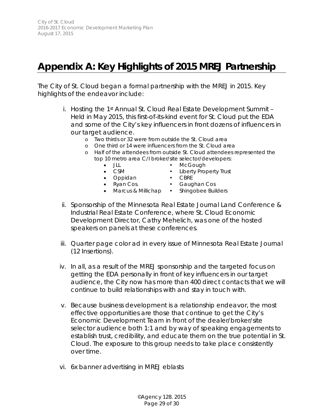# <span id="page-28-0"></span>**Appendix A: Key Highlights of 2015 MREJ Partnership**

The City of St. Cloud began a formal partnership with the MREJ in 2015. Key highlights of the endeavor include:

- i. Hosting the 1st Annual St. Cloud Real Estate Development Summit -Held in May 2015, this first-of-its-kind event for St. Cloud put the EDA and some of the City's key influencers in front dozens of influencers in our target audience.
	- o Two thirds or 32 were from outside the St. Cloud area
	- o One third or 14 were influencers from the St. Cloud area
	- o Half of the attendees from outside St. Cloud attendees represented the top 10 metro area C/I broker/site selector/developers:
		-
		- JLL McGough
		- CSM Liberty Property Trust
		- Oppidan CBRE
		-
		- Ryan Cos. Gaughan Cos
		-
		- Marcus & Millichap Shingobee Builders
- ii. Sponsorship of the Minnesota Real Estate Journal Land Conference & Industrial Real Estate Conference, where St. Cloud Economic Development Director, Cathy Mehelich, was one of the hosted speakers on panels at these conferences.
- iii. Quarter page color ad in every issue of Minnesota Real Estate Journal (12 Insertions).
- iv. In all, as a result of the MREJ sponsorship and the targeted focus on getting the EDA personally in front of key influencers in our target audience, the City now has more than 400 direct contacts that we will continue to build relationships with and stay in touch with.
- v. Because business development is a relationship endeavor, the most effective opportunities are those that continue to get the City's Economic Development Team in front of the dealer/broker/site selector audience both 1:1 and by way of speaking engagements to establish trust, credibility, and educate them on the true potential in St. Cloud. The exposure to this group needs to take place consistently over time.
- vi. 6x banner advertising in MREJ eblasts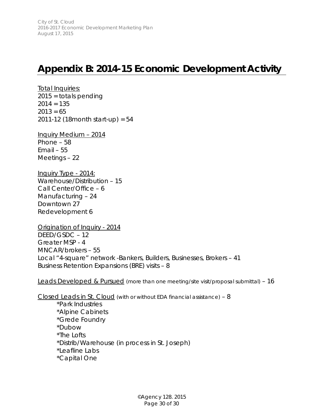# <span id="page-29-0"></span>**Appendix B: 2014-15 Economic Development Activity**

**Total Inquiries:** 2015 = totals pending  $2014 = 135$  $2013 = 65$ 2011-12 (18month start-up) = 54

Inquiry Medium – 2014 Phone – 58 Email – 55 Meetings – 22

Inquiry Type - 2014: Warehouse/Distribution – 15 Call Center/Office – 6 Manufacturing – 24 Downtown 27 Redevelopment 6

Origination of Inquiry - 2014 DEED/GSDC – 12 Greater MSP - 4 MNCAR/brokers – 55 Local "4-square" network -Bankers, Builders, Businesses, Brokers – 41 Business Retention Expansions (BRE) visits – 8

Leads Developed & Pursued (more than one meeting/site visit/proposal submittal) - 16

Closed Leads in St. Cloud (with or without EDA financial assistance) – 8 \*Park Industries

\*Alpine Cabinets \*Grede Foundry \*Dubow \*The Lofts \*Distrib/Warehouse (in process in St. Joseph) \*Leafline Labs \*Capital One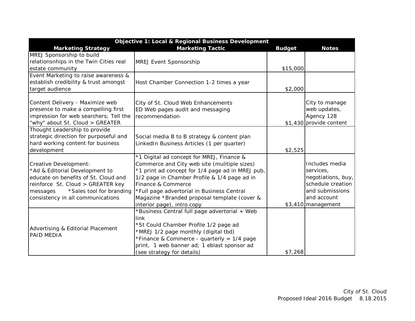| Objective 1: Local & Regional Business Development |                                                  |               |                         |
|----------------------------------------------------|--------------------------------------------------|---------------|-------------------------|
| <b>Marketing Strategy</b>                          | <b>Marketing Tactic</b>                          | <b>Budget</b> | <b>Notes</b>            |
| MREJ Sponsorship to build                          |                                                  |               |                         |
| relationsnhips in the Twin Cities real             | <b>MREJ Event Sponsorship</b>                    |               |                         |
| estate community                                   |                                                  | \$15,000      |                         |
| Event Marketing to raise awareness &               |                                                  |               |                         |
| establish credibility & trust amongst              | Host Chamber Connection 1-2 times a year         |               |                         |
| target audience                                    |                                                  | \$2,000       |                         |
|                                                    |                                                  |               |                         |
| Content Delivery - Maximize web                    | City of St. Cloud Web Enhancements               |               | City to manage          |
| presence to make a compelling first                | ED Web pages audit and messaging                 |               | web updates,            |
| impression for web searchers; Tell the             | recommendation                                   |               | Agency 128              |
| "why" about St. Cloud > GREATER                    |                                                  |               | \$1,430 provide content |
| Thought Leadership to provide                      |                                                  |               |                         |
| strategic direction for purposeful and             | Social media B to B strategy & content plan      |               |                         |
| hard working content for business                  | LinkedIn Business Articles (1 per quarter)       |               |                         |
| development                                        |                                                  | \$2,525       |                         |
|                                                    | *1 Digital ad concept for MREJ, Finance &        |               |                         |
| Creative Development:                              | Commerce and City web site (mulitiple sizes)     |               | Includes media          |
| *Ad & Editorial Development to                     | *1 print ad concept for 1/4 page ad in MREJ pub, |               | services,               |
| educate on benefits of St. Cloud and               | 1/2 page in Chamber Profile & 1/4 page ad in     |               | negotiations, buy,      |
| reinforce St. Cloud > GREATER key                  | Finance & Commerce                               |               | schedule creation       |
| *Sales tool for branding<br>messages               | *Full page advertorial in Business Central       |               | and submissions         |
| consistency in all communications                  | Magazine *Branded proposal template (cover &     |               | and account             |
|                                                    | interior page), intro copy                       |               | $$3,410$ management     |
|                                                    | *Business Central full page advertorial + Web    |               |                         |
|                                                    | link                                             |               |                         |
| Advertising & Editorial Placement                  | *St Could Chamber Profile 1/2 page ad            |               |                         |
| PAID MEDIA                                         | *MREJ 1/2 page monthly (digital tbd)             |               |                         |
|                                                    | *Finance & Commerce - quarterly = $1/4$ page     |               |                         |
|                                                    | print, 1 web banner ad; 1 eblast sponsor ad      |               |                         |
|                                                    | (see strategy for details)                       | \$7,268       |                         |